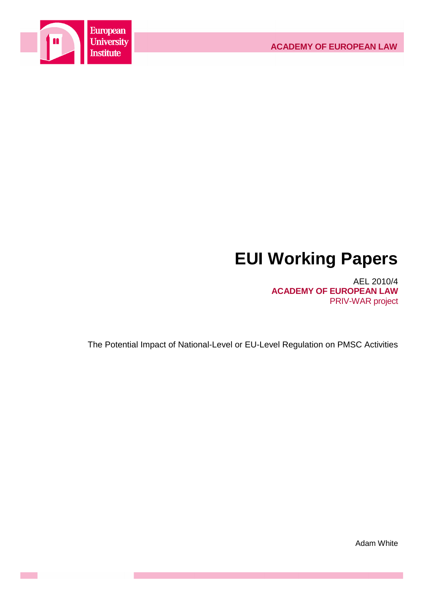



# **EUI Working Papers**

AEL 2010/4 **ACADEMY OF EUROPEAN LAW** PRIV-WAR project

The Potential Impact of National-Level or EU-Level Regulation on PMSC Activities

Adam White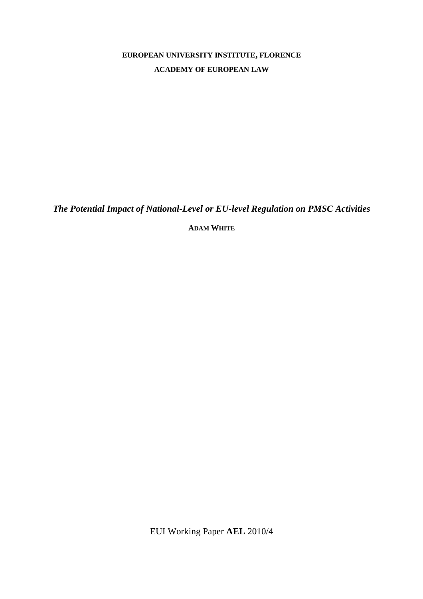## **EUROPEAN UNIVERSITY INSTITUTE, FLORENCE ACADEMY OF EUROPEAN LAW**

*The Potential Impact of National-Level or EU-level Regulation on PMSC Activities*

**ADAM WHITE**

EUI Working Paper **AEL** 2010/4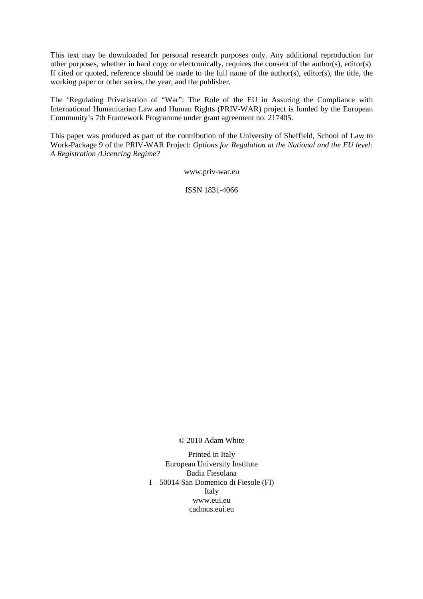This text may be downloaded for personal research purposes only. Any additional reproduction for other purposes, whether in hard copy or electronically, requires the consent of the author(s), editor(s). If cited or quoted, reference should be made to the full name of the author(s), editor(s), the title, the working paper or other series, the year, and the publisher.

The 'Regulating Privatisation of "War": The Role of the EU in Assuring the Compliance with International Humanitarian Law and Human Rights (PRIV-WAR) project is funded by the European Community's 7th Framework Programme under grant agreement no. 217405.

This paper was produced as part of the contribution of the University of Sheffield, School of Law to Work-Package 9 of the PRIV-WAR Project: *Options for Regulation at the National and the EU level: A Registration /Licencing Regime?* 

www.priv-war.eu

ISSN 1831-4066

© 2010 Adam White

Printed in Italy European University Institute Badia Fiesolana I – 50014 San Domenico di Fiesole (FI) Italy www.eui.eu cadmus.eui.eu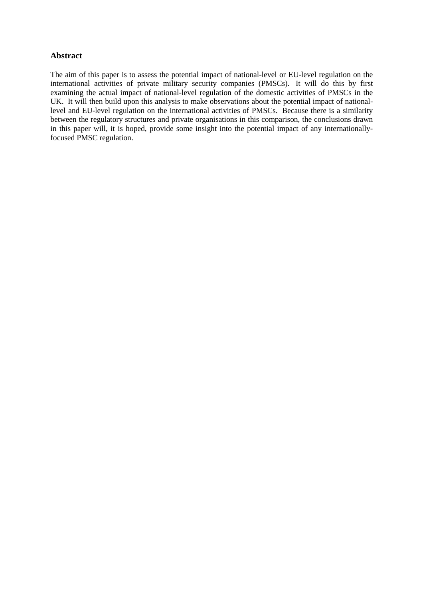## **Abstract**

The aim of this paper is to assess the potential impact of national-level or EU-level regulation on the international activities of private military security companies (PMSCs). It will do this by first examining the actual impact of national-level regulation of the domestic activities of PMSCs in the UK. It will then build upon this analysis to make observations about the potential impact of nationallevel and EU-level regulation on the international activities of PMSCs. Because there is a similarity between the regulatory structures and private organisations in this comparison, the conclusions drawn in this paper will, it is hoped, provide some insight into the potential impact of any internationallyfocused PMSC regulation.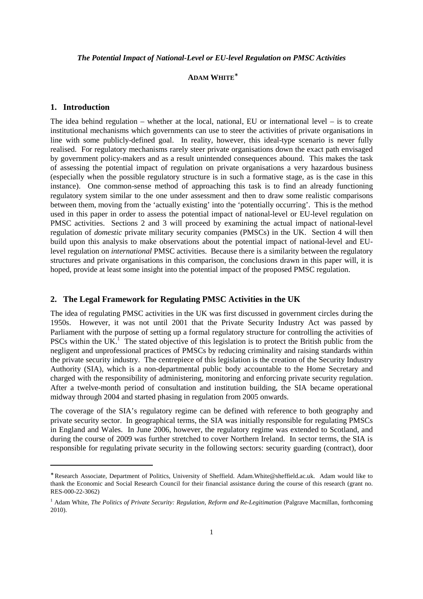## **ADAM WHITE**<sup>∗</sup>

## **1. Introduction**

 $\overline{a}$ 

The idea behind regulation – whether at the local, national, EU or international level – is to create institutional mechanisms which governments can use to steer the activities of private organisations in line with some publicly-defined goal. In reality, however, this ideal-type scenario is never fully realised. For regulatory mechanisms rarely steer private organisations down the exact path envisaged by government policy-makers and as a result unintended consequences abound. This makes the task of assessing the potential impact of regulation on private organisations a very hazardous business (especially when the possible regulatory structure is in such a formative stage, as is the case in this instance). One common-sense method of approaching this task is to find an already functioning regulatory system similar to the one under assessment and then to draw some realistic comparisons between them, moving from the 'actually existing' into the 'potentially occurring'. This is the method used in this paper in order to assess the potential impact of national-level or EU-level regulation on PMSC activities. Sections 2 and 3 will proceed by examining the actual impact of national-level regulation of *domestic* private military security companies (PMSCs) in the UK. Section 4 will then build upon this analysis to make observations about the potential impact of national-level and EUlevel regulation on *international* PMSC activities. Because there is a similarity between the regulatory structures and private organisations in this comparison, the conclusions drawn in this paper will, it is hoped, provide at least some insight into the potential impact of the proposed PMSC regulation.

## **2. The Legal Framework for Regulating PMSC Activities in the UK**

The idea of regulating PMSC activities in the UK was first discussed in government circles during the 1950s. However, it was not until 2001 that the Private Security Industry Act was passed by Parliament with the purpose of setting up a formal regulatory structure for controlling the activities of PSCs within the UK.<sup>1</sup> The stated objective of this legislation is to protect the British public from the negligent and unprofessional practices of PMSCs by reducing criminality and raising standards within the private security industry. The centrepiece of this legislation is the creation of the Security Industry Authority (SIA), which is a non-departmental public body accountable to the Home Secretary and charged with the responsibility of administering, monitoring and enforcing private security regulation. After a twelve-month period of consultation and institution building, the SIA became operational midway through 2004 and started phasing in regulation from 2005 onwards.

The coverage of the SIA's regulatory regime can be defined with reference to both geography and private security sector. In geographical terms, the SIA was initially responsible for regulating PMSCs in England and Wales. In June 2006, however, the regulatory regime was extended to Scotland, and during the course of 2009 was further stretched to cover Northern Ireland. In sector terms, the SIA is responsible for regulating private security in the following sectors: security guarding (contract), door

<sup>∗</sup> Research Associate, Department of Politics, University of Sheffield. Adam.White@sheffield.ac.uk. Adam would like to thank the Economic and Social Research Council for their financial assistance during the course of this research (grant no. RES-000-22-3062)

<sup>&</sup>lt;sup>1</sup> Adam White, *The Politics of Private Security: Regulation, Reform and Re-Legitimation* (Palgrave Macmillan, forthcoming 2010).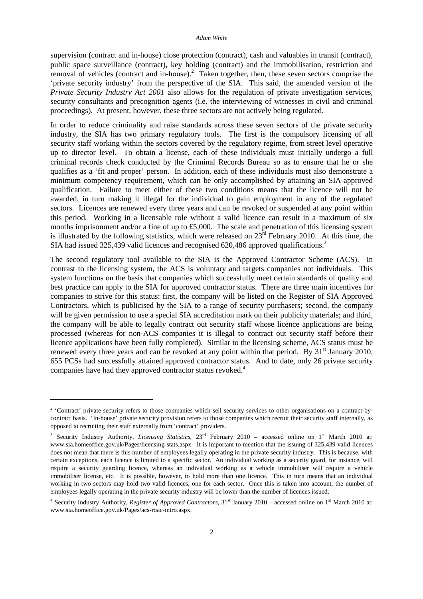supervision (contract and in-house) close protection (contract), cash and valuables in transit (contract), public space surveillance (contract), key holding (contract) and the immobilisation, restriction and removal of vehicles (contract and in-house). $2\pi$  Taken together, then, these seven sectors comprise the 'private security industry' from the perspective of the SIA. This said, the amended version of the *Private Security Industry Act 2001* also allows for the regulation of private investigation services, security consultants and precognition agents (i.e. the interviewing of witnesses in civil and criminal proceedings). At present, however, these three sectors are not actively being regulated.

In order to reduce criminality and raise standards across these seven sectors of the private security industry, the SIA has two primary regulatory tools. The first is the compulsory licensing of all security staff working within the sectors covered by the regulatory regime, from street level operative up to director level. To obtain a license, each of these individuals must initially undergo a full criminal records check conducted by the Criminal Records Bureau so as to ensure that he or she qualifies as a 'fit and proper' person. In addition, each of these individuals must also demonstrate a minimum competency requirement, which can be only accomplished by attaining an SIA-approved qualification. Failure to meet either of these two conditions means that the licence will not be awarded, in turn making it illegal for the individual to gain employment in any of the regulated sectors. Licences are renewed every three years and can be revoked or suspended at any point within this period. Working in a licensable role without a valid licence can result in a maximum of six months imprisonment and/or a fine of up to £5,000. The scale and penetration of this licensing system is illustrated by the following statistics, which were released on  $23<sup>rd</sup>$  February 2010. At this time, the SIA had issued 325,439 valid licences and recognised 620,486 approved qualifications.<sup>3</sup>

The second regulatory tool available to the SIA is the Approved Contractor Scheme (ACS). In contrast to the licensing system, the ACS is voluntary and targets companies not individuals. This system functions on the basis that companies which successfully meet certain standards of quality and best practice can apply to the SIA for approved contractor status. There are three main incentives for companies to strive for this status: first, the company will be listed on the Register of SIA Approved Contractors, which is publicised by the SIA to a range of security purchasers; second, the company will be given permission to use a special SIA accreditation mark on their publicity materials; and third, the company will be able to legally contract out security staff whose licence applications are being processed (whereas for non-ACS companies it is illegal to contract out security staff before their licence applications have been fully completed). Similar to the licensing scheme, ACS status must be renewed every three years and can be revoked at any point within that period. By 31<sup>st</sup> January 2010, 655 PCSs had successfully attained approved contractor status. And to date, only 26 private security companies have had they approved contractor status revoked.<sup>4</sup>

<sup>&</sup>lt;sup>2</sup> 'Contract' private security refers to those companies which sell security services to other organisations on a contract-bycontract basis. 'In-house' private security provision refers to those companies which recruit their security staff internally, as opposed to recruiting their staff externally from 'contract' providers.

<sup>&</sup>lt;sup>3</sup> Security Industry Authority, *Licensing Statistics*, 23<sup>rd</sup> February 2010 – accessed online on 1<sup>st</sup> March 2010 at: www.sia.homeoffice.gov.uk/Pages/licensing-stats.aspx. It is important to mention that the issuing of 325,439 valid licences does not mean that there is this number of employees legally operating in the private security industry. This is because, with certain exceptions, each licence is limited to a specific sector. An individual working as a security guard, for instance, will require a security guarding licence, whereas an individual working as a vehicle immobiliser will require a vehicle immobiliser license, etc. It is possible, however, to hold more than one licence. This in turn means that an individual working in two sectors may hold two valid licences, one for each sector. Once this is taken into account, the number of employees legally operating in the private security industry will be lower than the number of licences issued.

<sup>&</sup>lt;sup>4</sup> Security Industry Authority, *Register of Approved Contractors*, 31<sup>st</sup> January 2010 – accessed online on 1<sup>st</sup> March 2010 at: www.sia.homeoffice.gov.uk/Pages/acs-roac-intro.aspx.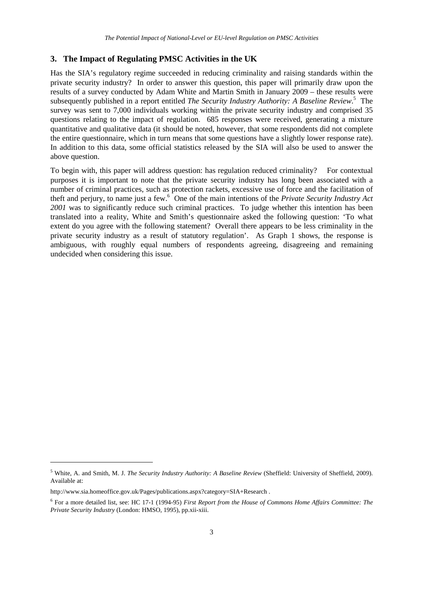## **3. The Impact of Regulating PMSC Activities in the UK**

Has the SIA's regulatory regime succeeded in reducing criminality and raising standards within the private security industry? In order to answer this question, this paper will primarily draw upon the results of a survey conducted by Adam White and Martin Smith in January 2009 – these results were subsequently published in a report entitled *The Security Industry Authority: A Baseline Review*. 5 The survey was sent to 7,000 individuals working within the private security industry and comprised 35 questions relating to the impact of regulation. 685 responses were received, generating a mixture quantitative and qualitative data (it should be noted, however, that some respondents did not complete the entire questionnaire, which in turn means that some questions have a slightly lower response rate). In addition to this data, some official statistics released by the SIA will also be used to answer the above question.

To begin with, this paper will address question: has regulation reduced criminality? For contextual purposes it is important to note that the private security industry has long been associated with a number of criminal practices, such as protection rackets, excessive use of force and the facilitation of theft and perjury, to name just a few.<sup>6</sup> One of the main intentions of the *Private Security Industry Act 2001* was to significantly reduce such criminal practices. To judge whether this intention has been translated into a reality, White and Smith's questionnaire asked the following question: 'To what extent do you agree with the following statement? Overall there appears to be less criminality in the private security industry as a result of statutory regulation'. As Graph 1 shows, the response is ambiguous, with roughly equal numbers of respondents agreeing, disagreeing and remaining undecided when considering this issue.

<sup>5</sup> White, A. and Smith, M. J. *The Security Industry Authority: A Baseline Review* (Sheffield: University of Sheffield, 2009). Available at:

http://www.sia.homeoffice.gov.uk/Pages/publications.aspx?category=SIA+Research .

<sup>6</sup> For a more detailed list, see: HC 17-1 (1994-95) *First Report from the House of Commons Home Affairs Committee: The Private Security Industry* (London: HMSO, 1995), pp.xii-xiii.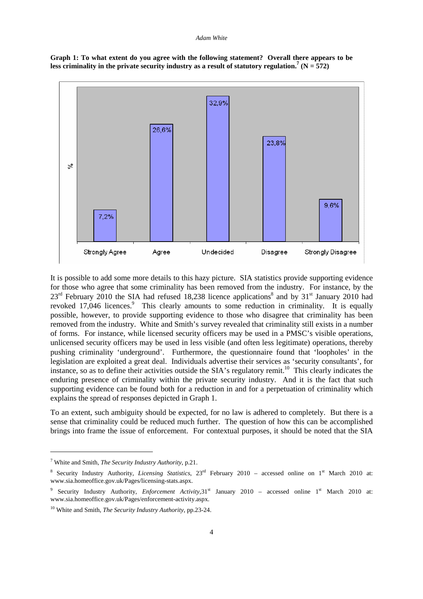**Graph 1: To what extent do you agree with the following statement? Overall there appears to be**  less criminality in the private security industry as a result of statutory regulation.<sup>7</sup> ( $N = 572$ )



It is possible to add some more details to this hazy picture. SIA statistics provide supporting evidence for those who agree that some criminality has been removed from the industry. For instance, by the  $23<sup>rd</sup>$  February 2010 the SIA had refused 18,238 licence applications<sup>8</sup> and by  $31<sup>st</sup>$  January 2010 had revoked 17,046 licences.<sup>9</sup> This clearly amounts to some reduction in criminality. It is equally possible, however, to provide supporting evidence to those who disagree that criminality has been removed from the industry. White and Smith's survey revealed that criminality still exists in a number of forms. For instance, while licensed security officers may be used in a PMSC's visible operations, unlicensed security officers may be used in less visible (and often less legitimate) operations, thereby pushing criminality 'underground'. Furthermore, the questionnaire found that 'loopholes' in the legislation are exploited a great deal. Individuals advertise their services as 'security consultants', for instance, so as to define their activities outside the SIA's regulatory remit.<sup>10</sup> This clearly indicates the enduring presence of criminality within the private security industry. And it is the fact that such supporting evidence can be found both for a reduction in and for a perpetuation of criminality which explains the spread of responses depicted in Graph 1.

To an extent, such ambiguity should be expected, for no law is adhered to completely. But there is a sense that criminality could be reduced much further. The question of how this can be accomplished brings into frame the issue of enforcement. For contextual purposes, it should be noted that the SIA

<sup>7</sup> White and Smith, *The Security Industry Authority*, p.21.

<sup>&</sup>lt;sup>8</sup> Security Industry Authority, *Licensing Statistics*, 23<sup>rd</sup> February 2010 – accessed online on 1<sup>st</sup> March 2010 at: www.sia.homeoffice.gov.uk/Pages/licensing-stats.aspx.

<sup>9</sup> Security Industry Authority, *Enforcement Activity*,  $31<sup>st</sup>$  January 2010 – accessed online  $1<sup>st</sup>$  March 2010 at: www.sia.homeoffice.gov.uk/Pages/enforcement-activity.aspx.

<sup>10</sup> White and Smith, *The Security Industry Authority*, pp.23-24.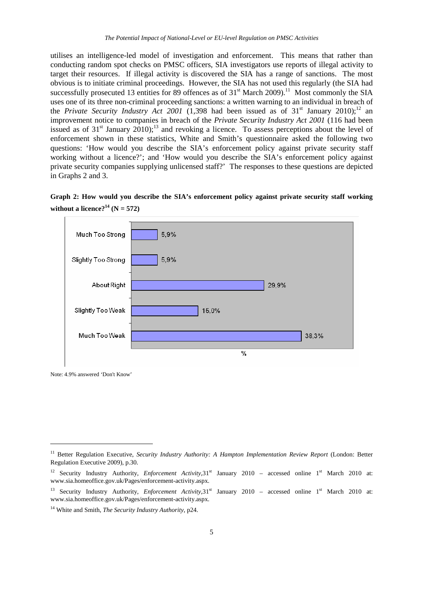utilises an intelligence-led model of investigation and enforcement. This means that rather than conducting random spot checks on PMSC officers, SIA investigators use reports of illegal activity to target their resources. If illegal activity is discovered the SIA has a range of sanctions. The most obvious is to initiate criminal proceedings. However, the SIA has not used this regularly (the SIA had successfully prosecuted 13 entities for 89 offences as of  $31<sup>st</sup>$  March 2009).<sup>11</sup> Most commonly the SIA uses one of its three non-criminal proceeding sanctions: a written warning to an individual in breach of the *Private Security Industry Act 2001* (1,398 had been issued as of  $31<sup>st</sup>$  January 2010);<sup>12</sup> an improvement notice to companies in breach of the *Private Security Industry Act 2001* (116 had been issued as of  $31<sup>st</sup>$  January  $2010$ ;<sup>13</sup> and revoking a licence. To assess perceptions about the level of enforcement shown in these statistics, White and Smith's questionnaire asked the following two questions: 'How would you describe the SIA's enforcement policy against private security staff working without a licence?'; and 'How would you describe the SIA's enforcement policy against private security companies supplying unlicensed staff?' The responses to these questions are depicted in Graphs 2 and 3.





Note: 4.9% answered 'Don't Know'

<sup>&</sup>lt;sup>11</sup> Better Regulation Executive, *Security Industry Authority: A Hampton Implementation Review Report* (London: Better Regulation Executive 2009), p.30.

<sup>&</sup>lt;sup>12</sup> Security Industry Authority, *Enforcement Activity*, 31<sup>st</sup> January 2010 – accessed online 1<sup>st</sup> March 2010 at: www.sia.homeoffice.gov.uk/Pages/enforcement-activity.aspx.

<sup>&</sup>lt;sup>13</sup> Security Industry Authority, *Enforcement Activity*, 31<sup>st</sup> January 2010 – accessed online 1<sup>st</sup> March 2010 at: www.sia.homeoffice.gov.uk/Pages/enforcement-activity.aspx.

<sup>14</sup> White and Smith, *The Security Industry Authority*, p24.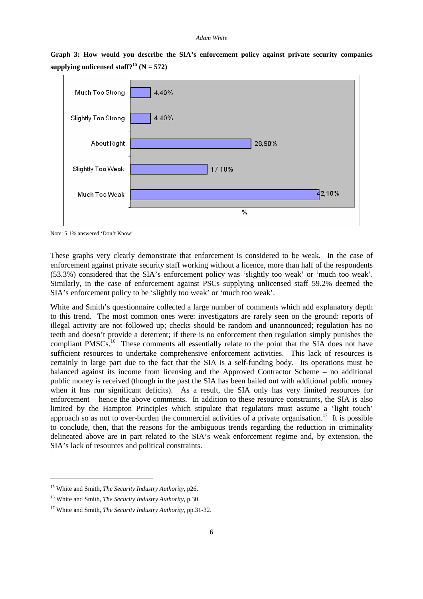**Graph 3: How would you describe the SIA's enforcement policy against private security companies**  supplying unlicensed staff?<sup>15</sup> ( $N = 572$ )



Note: 5.1% answered 'Don't Know'

These graphs very clearly demonstrate that enforcement is considered to be weak. In the case of enforcement against private security staff working without a licence, more than half of the respondents (53.3%) considered that the SIA's enforcement policy was 'slightly too weak' or 'much too weak'. Similarly, in the case of enforcement against PSCs supplying unlicensed staff 59.2% deemed the SIA's enforcement policy to be 'slightly too weak' or 'much too weak'.

White and Smith's questionnaire collected a large number of comments which add explanatory depth to this trend. The most common ones were: investigators are rarely seen on the ground: reports of illegal activity are not followed up; checks should be random and unannounced; regulation has no teeth and doesn't provide a deterrent; if there is no enforcement then regulation simply punishes the compliant PMSCs.<sup>16</sup> These comments all essentially relate to the point that the SIA does not have sufficient resources to undertake comprehensive enforcement activities. This lack of resources is certainly in large part due to the fact that the SIA is a self-funding body. Its operations must be balanced against its income from licensing and the Approved Contractor Scheme – no additional public money is received (though in the past the SIA has been bailed out with additional public money when it has run significant deficits). As a result, the SIA only has very limited resources for enforcement – hence the above comments. In addition to these resource constraints, the SIA is also limited by the Hampton Principles which stipulate that regulators must assume a 'light touch' approach so as not to over-burden the commercial activities of a private organisation.<sup>17</sup> It is possible to conclude, then, that the reasons for the ambiguous trends regarding the reduction in criminality delineated above are in part related to the SIA's weak enforcement regime and, by extension, the SIA's lack of resources and political constraints.

<sup>15</sup> White and Smith, *The Security Industry Authority*, p26.

<sup>16</sup> White and Smith, *The Security Industry Authority*, p.30.

<sup>17</sup> White and Smith, *The Security Industry Authority*, pp.31-32.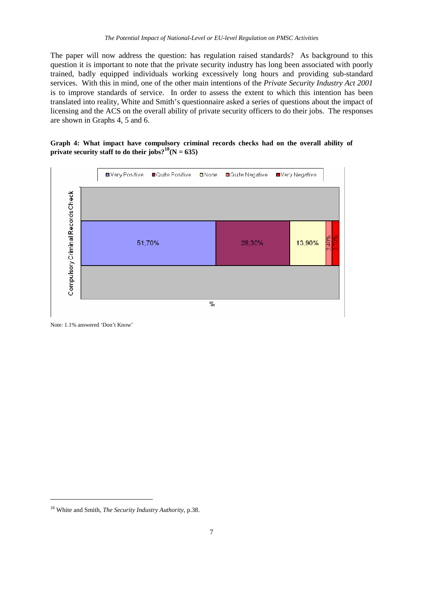The paper will now address the question: has regulation raised standards? As background to this question it is important to note that the private security industry has long been associated with poorly trained, badly equipped individuals working excessively long hours and providing sub-standard services. With this in mind, one of the other main intentions of the *Private Security Industry Act 2001* is to improve standards of service. In order to assess the extent to which this intention has been translated into reality, White and Smith's questionnaire asked a series of questions about the impact of licensing and the ACS on the overall ability of private security officers to do their jobs. The responses are shown in Graphs 4, 5 and 6.

### **Graph 4: What impact have compulsory criminal records checks had on the overall ability of private security staff to do their jobs?**<sup> $18$ </sup>(N = 635)



Note: 1.1% answered 'Don't Know'

<sup>18</sup> White and Smith, *The Security Industry Authority*, p.38.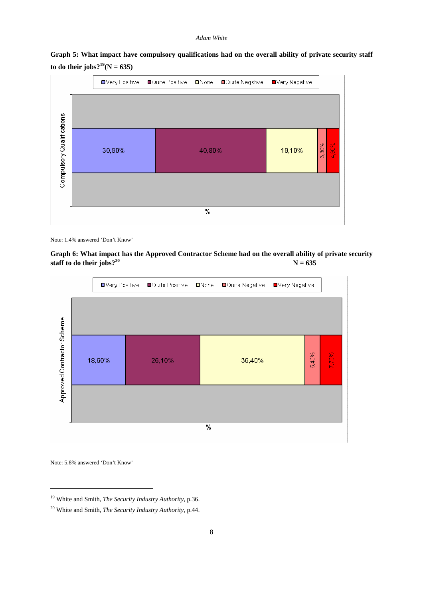**Graph 5: What impact have compulsory qualifications had on the overall ability of private security staff to do their jobs?**<sup>19</sup>**(N** = **635**)



Note: 1.4% answered 'Don't Know'

**Graph 6: What impact has the Approved Contractor Scheme had on the overall ability of private security staff to do their jobs?<sup>20</sup>**  $N = 635$ 



Note: 5.8% answered 'Don't Know'

<sup>19</sup> White and Smith, *The Security Industry Authority*, p.36.

<sup>20</sup> White and Smith, *The Security Industry Authority*, p.44.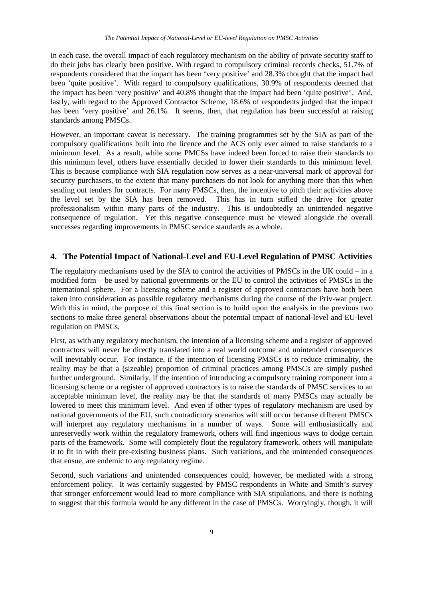In each case, the overall impact of each regulatory mechanism on the ability of private security staff to do their jobs has clearly been positive. With regard to compulsory criminal records checks, 51.7% of respondents considered that the impact has been 'very positive' and 28.3% thought that the impact had been 'quite positive'. With regard to compulsory qualifications, 30.9% of respondents deemed that the impact has been 'very positive' and 40.8% thought that the impact had been 'quite positive'. And, lastly, with regard to the Approved Contractor Scheme, 18.6% of respondents judged that the impact has been 'very positive' and 26.1%. It seems, then, that regulation has been successful at raising standards among PMSCs.

However, an important caveat is necessary. The training programmes set by the SIA as part of the compulsory qualifications built into the licence and the ACS only ever aimed to raise standards to a minimum level. As a result, while some PMCSs have indeed been forced to raise their standards to this minimum level, others have essentially decided to lower their standards to this minimum level. This is because compliance with SIA regulation now serves as a near-universal mark of approval for security purchasers, to the extent that many purchasers do not look for anything more than this when sending out tenders for contracts. For many PMSCs, then, the incentive to pitch their activities above the level set by the SIA has been removed. This has in turn stifled the drive for greater professionalism within many parts of the industry. This is undoubtedly an unintended negative consequence of regulation. Yet this negative consequence must be viewed alongside the overall successes regarding improvements in PMSC service standards as a whole.

## **4. The Potential Impact of National-Level and EU-Level Regulation of PMSC Activities**

The regulatory mechanisms used by the SIA to control the activities of PMSCs in the UK could – in a modified form – be used by national governments or the EU to control the activities of PMSCs in the international sphere. For a licensing scheme and a register of approved contractors have both been taken into consideration as possible regulatory mechanisms during the course of the Priv-war project. With this in mind, the purpose of this final section is to build upon the analysis in the previous two sections to make three general observations about the potential impact of national-level and EU-level regulation on PMSCs.

First, as with any regulatory mechanism, the intention of a licensing scheme and a register of approved contractors will never be directly translated into a real world outcome and unintended consequences will inevitably occur. For instance, if the intention of licensing PMSCs is to reduce criminality, the reality may be that a (sizeable) proportion of criminal practices among PMSCs are simply pushed further underground. Similarly, if the intention of introducing a compulsory training component into a licensing scheme or a register of approved contractors is to raise the standards of PMSC services to an acceptable minimum level, the reality may be that the standards of many PMSCs may actually be lowered to meet this minimum level. And even if other types of regulatory mechanism are used by national governments of the EU, such contradictory scenarios will still occur because different PMSCs will interpret any regulatory mechanisms in a number of ways. Some will enthusiastically and unreservedly work within the regulatory framework, others will find ingenious ways to dodge certain parts of the framework. Some will completely flout the regulatory framework, others will manipulate it to fit in with their pre-existing business plans. Such variations, and the unintended consequences that ensue, are endemic to any regulatory regime.

Second, such variations and unintended consequences could, however, be mediated with a strong enforcement policy. It was certainly suggested by PMSC respondents in White and Smith's survey that stronger enforcement would lead to more compliance with SIA stipulations, and there is nothing to suggest that this formula would be any different in the case of PMSCs. Worryingly, though, it will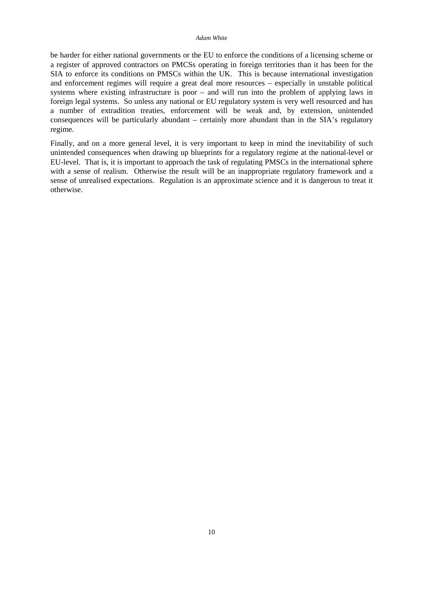be harder for either national governments or the EU to enforce the conditions of a licensing scheme or a register of approved contractors on PMCSs operating in foreign territories than it has been for the SIA to enforce its conditions on PMSCs within the UK. This is because international investigation and enforcement regimes will require a great deal more resources – especially in unstable political systems where existing infrastructure is poor – and will run into the problem of applying laws in foreign legal systems. So unless any national or EU regulatory system is very well resourced and has a number of extradition treaties, enforcement will be weak and, by extension, unintended consequences will be particularly abundant – certainly more abundant than in the SIA's regulatory regime.

Finally, and on a more general level, it is very important to keep in mind the inevitability of such unintended consequences when drawing up blueprints for a regulatory regime at the national-level or EU-level. That is, it is important to approach the task of regulating PMSCs in the international sphere with a sense of realism. Otherwise the result will be an inappropriate regulatory framework and a sense of unrealised expectations. Regulation is an approximate science and it is dangerous to treat it otherwise.